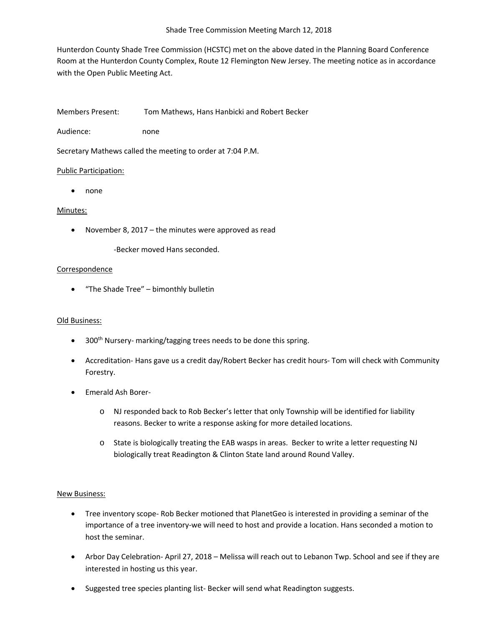Hunterdon County Shade Tree Commission (HCSTC) met on the above dated in the Planning Board Conference Room at the Hunterdon County Complex, Route 12 Flemington New Jersey. The meeting notice as in accordance with the Open Public Meeting Act.

Members Present: Tom Mathews, Hans Hanbicki and Robert Becker

Audience: none

Secretary Mathews called the meeting to order at 7:04 P.M.

# Public Participation:

• none

# Minutes:

• November 8, 2017 – the minutes were approved as read

-Becker moved Hans seconded.

# **Correspondence**

• "The Shade Tree" – bimonthly bulletin

## Old Business:

- 300<sup>th</sup> Nursery- marking/tagging trees needs to be done this spring.
- Accreditation- Hans gave us a credit day/Robert Becker has credit hours- Tom will check with Community Forestry.
- Emerald Ash Borer
	- o NJ responded back to Rob Becker's letter that only Township will be identified for liability reasons. Becker to write a response asking for more detailed locations.
	- o State is biologically treating the EAB wasps in areas. Becker to write a letter requesting NJ biologically treat Readington & Clinton State land around Round Valley.

## New Business:

- Tree inventory scope- Rob Becker motioned that PlanetGeo is interested in providing a seminar of the importance of a tree inventory-we will need to host and provide a location. Hans seconded a motion to host the seminar.
- Arbor Day Celebration- April 27, 2018 Melissa will reach out to Lebanon Twp. School and see if they are interested in hosting us this year.
- Suggested tree species planting list- Becker will send what Readington suggests.